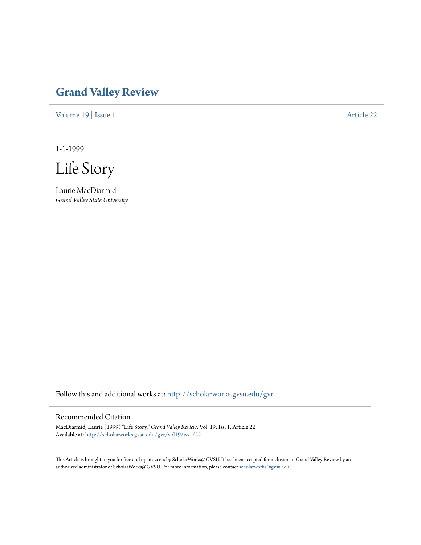# **[Grand Valley Review](http://scholarworks.gvsu.edu/gvr?utm_source=scholarworks.gvsu.edu%2Fgvr%2Fvol19%2Fiss1%2F22&utm_medium=PDF&utm_campaign=PDFCoverPages)**

[Volume 19](http://scholarworks.gvsu.edu/gvr/vol19?utm_source=scholarworks.gvsu.edu%2Fgvr%2Fvol19%2Fiss1%2F22&utm_medium=PDF&utm_campaign=PDFCoverPages) | [Issue 1](http://scholarworks.gvsu.edu/gvr/vol19/iss1?utm_source=scholarworks.gvsu.edu%2Fgvr%2Fvol19%2Fiss1%2F22&utm_medium=PDF&utm_campaign=PDFCoverPages) [Article 22](http://scholarworks.gvsu.edu/gvr/vol19/iss1/22?utm_source=scholarworks.gvsu.edu%2Fgvr%2Fvol19%2Fiss1%2F22&utm_medium=PDF&utm_campaign=PDFCoverPages)

1-1-1999

Life Story

Laurie MacDiarmid *Grand Valley State University*

Follow this and additional works at: [http://scholarworks.gvsu.edu/gvr](http://scholarworks.gvsu.edu/gvr?utm_source=scholarworks.gvsu.edu%2Fgvr%2Fvol19%2Fiss1%2F22&utm_medium=PDF&utm_campaign=PDFCoverPages)

# Recommended Citation

MacDiarmid, Laurie (1999) "Life Story," *Grand Valley Review*: Vol. 19: Iss. 1, Article 22. Available at: [http://scholarworks.gvsu.edu/gvr/vol19/iss1/22](http://scholarworks.gvsu.edu/gvr/vol19/iss1/22?utm_source=scholarworks.gvsu.edu%2Fgvr%2Fvol19%2Fiss1%2F22&utm_medium=PDF&utm_campaign=PDFCoverPages)

This Article is brought to you for free and open access by ScholarWorks@GVSU. It has been accepted for inclusion in Grand Valley Review by an authorized administrator of ScholarWorks@GVSU. For more information, please contact [scholarworks@gvsu.edu.](mailto:scholarworks@gvsu.edu)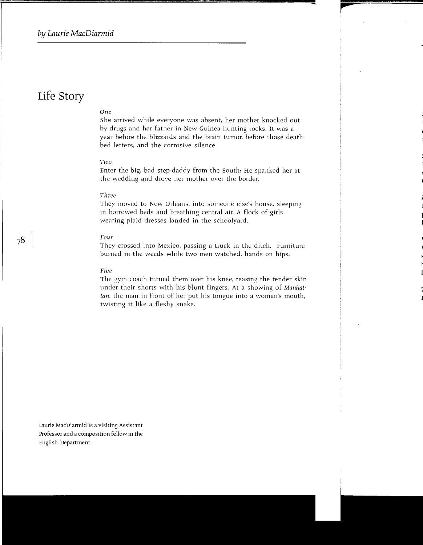# **Life Story**

# *One*

She arrived while everyone was absent, her mother knocked out by drugs and her father in New Guinea hunting rocks. It was a year before the blizzards and the brain tumor, before those deathbed letters, and the corrosive silence.

### *Two*

Enter the big, bad step-daddy from the South: He spanked her at the wedding and drove her mother over the border.

# *Three*

They moved to New Orleans, into someone else's house, sleeping in borrowed beds and breathing central air. A flock of girls wearing plaid dresses landed in the schoolyard.

#### Four

They crossed into Mexico, passing a truck in the ditch. Furniture burned in the weeds while two men watched, hands on hips.

#### Five

The gym coach turned them over his knee, teasing the tender skin under their shorts with his blunt fingers. At a showing of *Manhattan,* the man in front of her put his tongue into a woman's mouth, twisting it like a fleshy snake.

Laurie MacDiarmid is a visiting Assistant Professor and a composition fellow in the English Department.